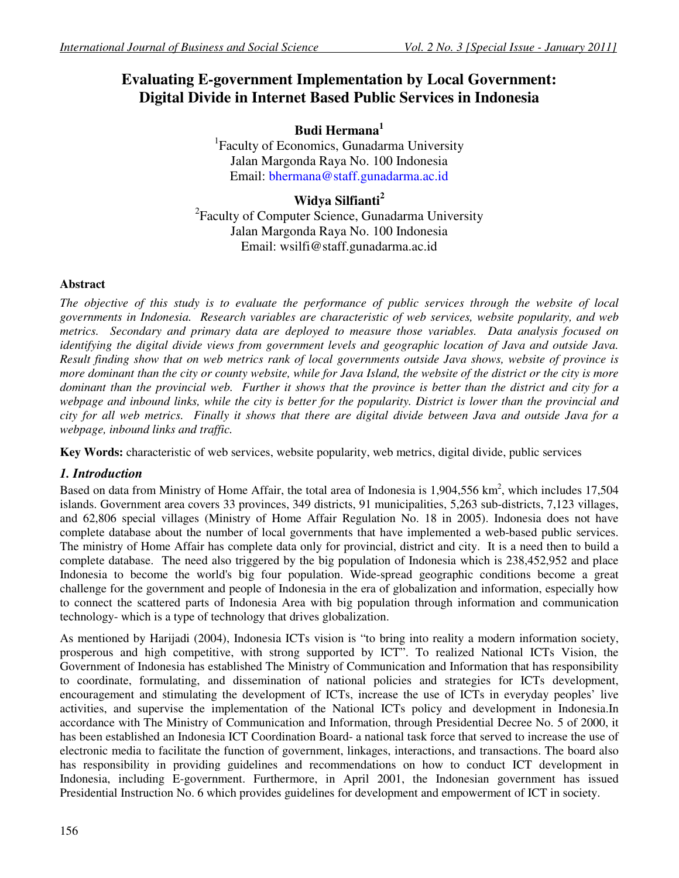# **Evaluating E-government Implementation by Local Government: Digital Divide in Internet Based Public Services in Indonesia**

**Budi Hermana<sup>1</sup>** <sup>1</sup>Faculty of Economics, Gunadarma University Jalan Margonda Raya No. 100 Indonesia Email: bhermana@staff.gunadarma.ac.id

## **Widya Silfianti<sup>2</sup>**

<sup>2</sup> Faculty of Computer Science, Gunadarma University Jalan Margonda Raya No. 100 Indonesia Email: wsilfi@staff.gunadarma.ac.id

## **Abstract**

*The objective of this study is to evaluate the performance of public services through the website of local governments in Indonesia. Research variables are characteristic of web services, website popularity, and web metrics. Secondary and primary data are deployed to measure those variables. Data analysis focused on identifying the digital divide views from government levels and geographic location of Java and outside Java. Result finding show that on web metrics rank of local governments outside Java shows, website of province is more dominant than the city or county website, while for Java Island, the website of the district or the city is more dominant than the provincial web. Further it shows that the province is better than the district and city for a webpage and inbound links, while the city is better for the popularity. District is lower than the provincial and city for all web metrics. Finally it shows that there are digital divide between Java and outside Java for a webpage, inbound links and traffic.* 

**Key Words:** characteristic of web services, website popularity, web metrics, digital divide, public services

#### *1. Introduction*

Based on data from Ministry of Home Affair, the total area of Indonesia is  $1,904,556 \text{ km}^2$ , which includes 17,504 islands. Government area covers 33 provinces, 349 districts, 91 municipalities, 5,263 sub-districts, 7,123 villages, and 62,806 special villages (Ministry of Home Affair Regulation No. 18 in 2005). Indonesia does not have complete database about the number of local governments that have implemented a web-based public services. The ministry of Home Affair has complete data only for provincial, district and city. It is a need then to build a complete database. The need also triggered by the big population of Indonesia which is 238,452,952 and place Indonesia to become the world's big four population. Wide-spread geographic conditions become a great challenge for the government and people of Indonesia in the era of globalization and information, especially how to connect the scattered parts of Indonesia Area with big population through information and communication technology- which is a type of technology that drives globalization.

As mentioned by Harijadi (2004), Indonesia ICTs vision is "to bring into reality a modern information society, prosperous and high competitive, with strong supported by ICT". To realized National ICTs Vision, the Government of Indonesia has established The Ministry of Communication and Information that has responsibility to coordinate, formulating, and dissemination of national policies and strategies for ICTs development, encouragement and stimulating the development of ICTs, increase the use of ICTs in everyday peoples' live activities, and supervise the implementation of the National ICTs policy and development in Indonesia.In accordance with The Ministry of Communication and Information, through Presidential Decree No. 5 of 2000, it has been established an Indonesia ICT Coordination Board- a national task force that served to increase the use of electronic media to facilitate the function of government, linkages, interactions, and transactions. The board also has responsibility in providing guidelines and recommendations on how to conduct ICT development in Indonesia, including E-government. Furthermore, in April 2001, the Indonesian government has issued Presidential Instruction No. 6 which provides guidelines for development and empowerment of ICT in society.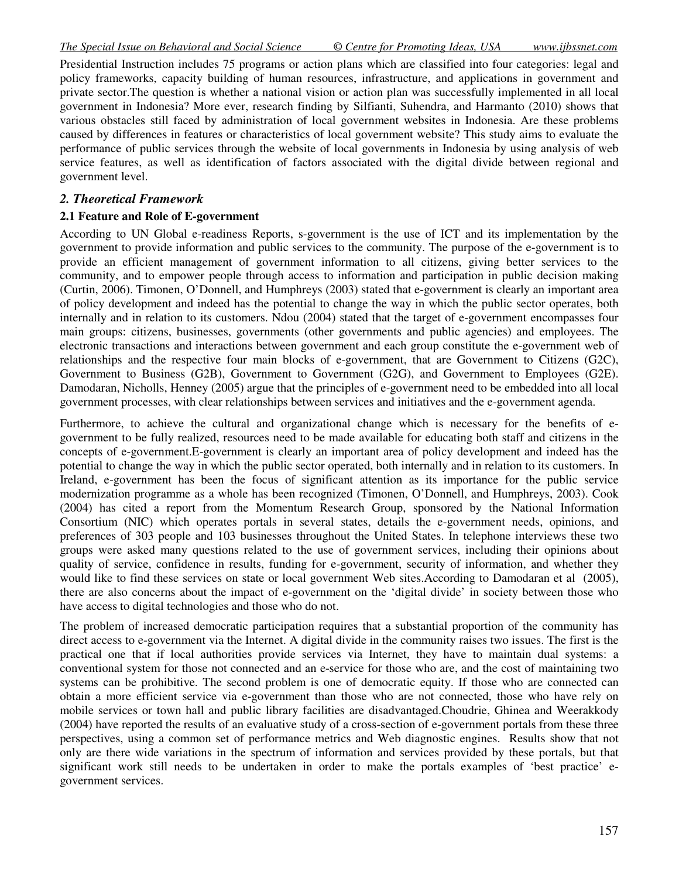Presidential Instruction includes 75 programs or action plans which are classified into four categories: legal and policy frameworks, capacity building of human resources, infrastructure, and applications in government and private sector.The question is whether a national vision or action plan was successfully implemented in all local government in Indonesia? More ever, research finding by Silfianti, Suhendra, and Harmanto (2010) shows that various obstacles still faced by administration of local government websites in Indonesia. Are these problems caused by differences in features or characteristics of local government website? This study aims to evaluate the performance of public services through the website of local governments in Indonesia by using analysis of web service features, as well as identification of factors associated with the digital divide between regional and government level.

## *2. Theoretical Framework*

## **2.1 Feature and Role of E-government**

According to UN Global e-readiness Reports, s-government is the use of ICT and its implementation by the government to provide information and public services to the community. The purpose of the e-government is to provide an efficient management of government information to all citizens, giving better services to the community, and to empower people through access to information and participation in public decision making (Curtin, 2006). Timonen, O'Donnell, and Humphreys (2003) stated that e-government is clearly an important area of policy development and indeed has the potential to change the way in which the public sector operates, both internally and in relation to its customers. Ndou (2004) stated that the target of e-government encompasses four main groups: citizens, businesses, governments (other governments and public agencies) and employees. The electronic transactions and interactions between government and each group constitute the e-government web of relationships and the respective four main blocks of e-government, that are Government to Citizens (G2C), Government to Business (G2B), Government to Government (G2G), and Government to Employees (G2E). Damodaran, Nicholls, Henney (2005) argue that the principles of e-government need to be embedded into all local government processes, with clear relationships between services and initiatives and the e-government agenda.

Furthermore, to achieve the cultural and organizational change which is necessary for the benefits of egovernment to be fully realized, resources need to be made available for educating both staff and citizens in the concepts of e-government.E-government is clearly an important area of policy development and indeed has the potential to change the way in which the public sector operated, both internally and in relation to its customers. In Ireland, e-government has been the focus of significant attention as its importance for the public service modernization programme as a whole has been recognized (Timonen, O'Donnell, and Humphreys, 2003). Cook (2004) has cited a report from the Momentum Research Group, sponsored by the National Information Consortium (NIC) which operates portals in several states, details the e-government needs, opinions, and preferences of 303 people and 103 businesses throughout the United States. In telephone interviews these two groups were asked many questions related to the use of government services, including their opinions about quality of service, confidence in results, funding for e-government, security of information, and whether they would like to find these services on state or local government Web sites.According to Damodaran et al (2005), there are also concerns about the impact of e-government on the 'digital divide' in society between those who have access to digital technologies and those who do not.

The problem of increased democratic participation requires that a substantial proportion of the community has direct access to e-government via the Internet. A digital divide in the community raises two issues. The first is the practical one that if local authorities provide services via Internet, they have to maintain dual systems: a conventional system for those not connected and an e-service for those who are, and the cost of maintaining two systems can be prohibitive. The second problem is one of democratic equity. If those who are connected can obtain a more efficient service via e-government than those who are not connected, those who have rely on mobile services or town hall and public library facilities are disadvantaged.Choudrie, Ghinea and Weerakkody (2004) have reported the results of an evaluative study of a cross-section of e-government portals from these three perspectives, using a common set of performance metrics and Web diagnostic engines. Results show that not only are there wide variations in the spectrum of information and services provided by these portals, but that significant work still needs to be undertaken in order to make the portals examples of 'best practice' egovernment services.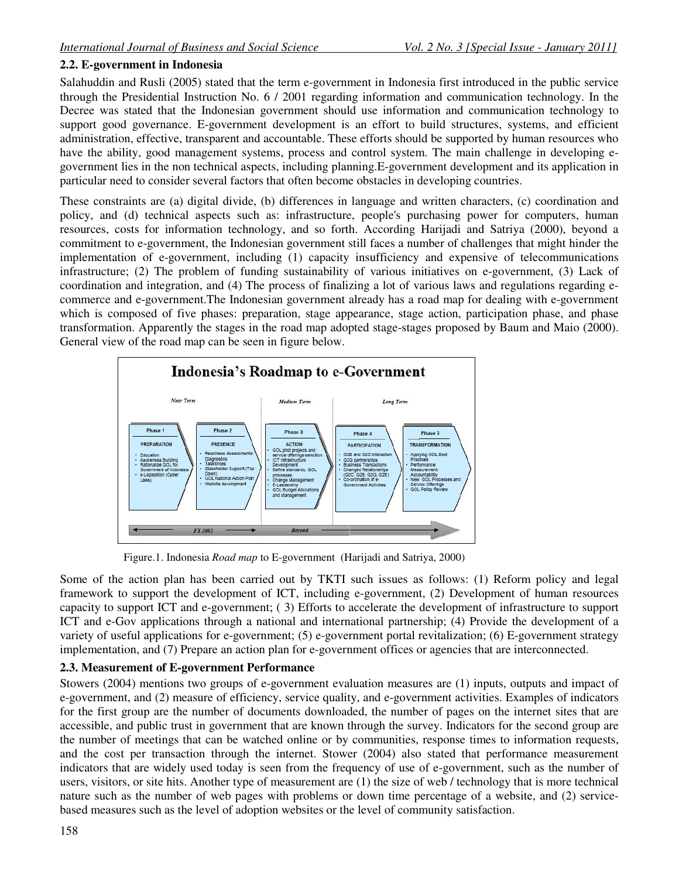#### **2.2. E-government in Indonesia**

Salahuddin and Rusli (2005) stated that the term e-government in Indonesia first introduced in the public service through the Presidential Instruction No. 6 / 2001 regarding information and communication technology. In the Decree was stated that the Indonesian government should use information and communication technology to support good governance. E-government development is an effort to build structures, systems, and efficient administration, effective, transparent and accountable. These efforts should be supported by human resources who have the ability, good management systems, process and control system. The main challenge in developing egovernment lies in the non technical aspects, including planning.E-government development and its application in particular need to consider several factors that often become obstacles in developing countries.

These constraints are (a) digital divide, (b) differences in language and written characters, (c) coordination and policy, and (d) technical aspects such as: infrastructure, people's purchasing power for computers, human resources, costs for information technology, and so forth. According Harijadi and Satriya (2000), beyond a commitment to e-government, the Indonesian government still faces a number of challenges that might hinder the implementation of e-government, including (1) capacity insufficiency and expensive of telecommunications infrastructure; (2) The problem of funding sustainability of various initiatives on e-government, (3) Lack of coordination and integration, and (4) The process of finalizing a lot of various laws and regulations regarding ecommerce and e-government.The Indonesian government already has a road map for dealing with e-government which is composed of five phases: preparation, stage appearance, stage action, participation phase, and phase transformation. Apparently the stages in the road map adopted stage-stages proposed by Baum and Maio (2000). General view of the road map can be seen in figure below.



Figure.1. Indonesia *Road map* to E-government (Harijadi and Satriya, 2000)

Some of the action plan has been carried out by TKTI such issues as follows: (1) Reform policy and legal framework to support the development of ICT, including e-government, (2) Development of human resources capacity to support ICT and e-government; ( 3) Efforts to accelerate the development of infrastructure to support ICT and e-Gov applications through a national and international partnership; (4) Provide the development of a variety of useful applications for e-government; (5) e-government portal revitalization; (6) E-government strategy implementation, and (7) Prepare an action plan for e-government offices or agencies that are interconnected.

#### **2.3. Measurement of E-government Performance**

Stowers (2004) mentions two groups of e-government evaluation measures are (1) inputs, outputs and impact of e-government, and (2) measure of efficiency, service quality, and e-government activities. Examples of indicators for the first group are the number of documents downloaded, the number of pages on the internet sites that are accessible, and public trust in government that are known through the survey. Indicators for the second group are the number of meetings that can be watched online or by communities, response times to information requests, and the cost per transaction through the internet. Stower (2004) also stated that performance measurement indicators that are widely used today is seen from the frequency of use of e-government, such as the number of users, visitors, or site hits. Another type of measurement are (1) the size of web / technology that is more technical nature such as the number of web pages with problems or down time percentage of a website, and (2) servicebased measures such as the level of adoption websites or the level of community satisfaction.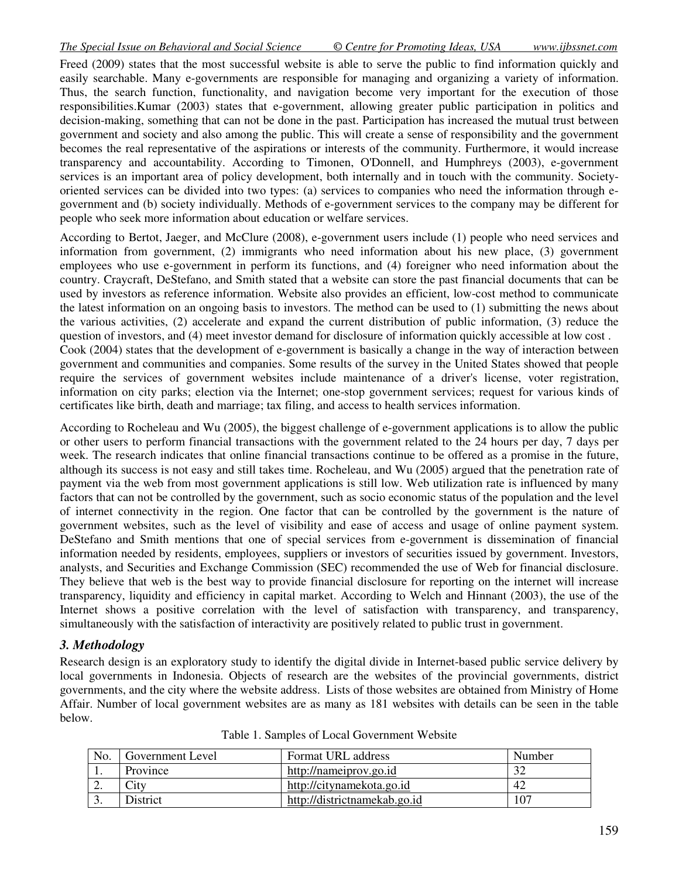Freed (2009) states that the most successful website is able to serve the public to find information quickly and easily searchable. Many e-governments are responsible for managing and organizing a variety of information. Thus, the search function, functionality, and navigation become very important for the execution of those responsibilities.Kumar (2003) states that e-government, allowing greater public participation in politics and decision-making, something that can not be done in the past. Participation has increased the mutual trust between government and society and also among the public. This will create a sense of responsibility and the government becomes the real representative of the aspirations or interests of the community. Furthermore, it would increase transparency and accountability. According to Timonen, O'Donnell, and Humphreys (2003), e-government services is an important area of policy development, both internally and in touch with the community. Societyoriented services can be divided into two types: (a) services to companies who need the information through egovernment and (b) society individually. Methods of e-government services to the company may be different for people who seek more information about education or welfare services.

According to Bertot, Jaeger, and McClure (2008), e-government users include (1) people who need services and information from government, (2) immigrants who need information about his new place, (3) government employees who use e-government in perform its functions, and (4) foreigner who need information about the country. Craycraft, DeStefano, and Smith stated that a website can store the past financial documents that can be used by investors as reference information. Website also provides an efficient, low-cost method to communicate the latest information on an ongoing basis to investors. The method can be used to (1) submitting the news about the various activities, (2) accelerate and expand the current distribution of public information, (3) reduce the question of investors, and (4) meet investor demand for disclosure of information quickly accessible at low cost . Cook (2004) states that the development of e-government is basically a change in the way of interaction between government and communities and companies. Some results of the survey in the United States showed that people require the services of government websites include maintenance of a driver's license, voter registration, information on city parks; election via the Internet; one-stop government services; request for various kinds of certificates like birth, death and marriage; tax filing, and access to health services information.

According to Rocheleau and Wu (2005), the biggest challenge of e-government applications is to allow the public or other users to perform financial transactions with the government related to the 24 hours per day, 7 days per week. The research indicates that online financial transactions continue to be offered as a promise in the future, although its success is not easy and still takes time. Rocheleau, and Wu (2005) argued that the penetration rate of payment via the web from most government applications is still low. Web utilization rate is influenced by many factors that can not be controlled by the government, such as socio economic status of the population and the level of internet connectivity in the region. One factor that can be controlled by the government is the nature of government websites, such as the level of visibility and ease of access and usage of online payment system. DeStefano and Smith mentions that one of special services from e-government is dissemination of financial information needed by residents, employees, suppliers or investors of securities issued by government. Investors, analysts, and Securities and Exchange Commission (SEC) recommended the use of Web for financial disclosure. They believe that web is the best way to provide financial disclosure for reporting on the internet will increase transparency, liquidity and efficiency in capital market. According to Welch and Hinnant (2003), the use of the Internet shows a positive correlation with the level of satisfaction with transparency, and transparency, simultaneously with the satisfaction of interactivity are positively related to public trust in government.

#### *3. Methodology*

Research design is an exploratory study to identify the digital divide in Internet-based public service delivery by local governments in Indonesia. Objects of research are the websites of the provincial governments, district governments, and the city where the website address. Lists of those websites are obtained from Ministry of Home Affair. Number of local government websites are as many as 181 websites with details can be seen in the table below.

| No. | Government Level | Format URL address           | Number |
|-----|------------------|------------------------------|--------|
| . . | Province         | http://nameiprov.go.id       | 32     |
| ∠.  | City             | http://citynamekota.go.id    | 42     |
| ◡.  | District         | http://districtnamekab.go.id | 107    |

Table 1. Samples of Local Government Website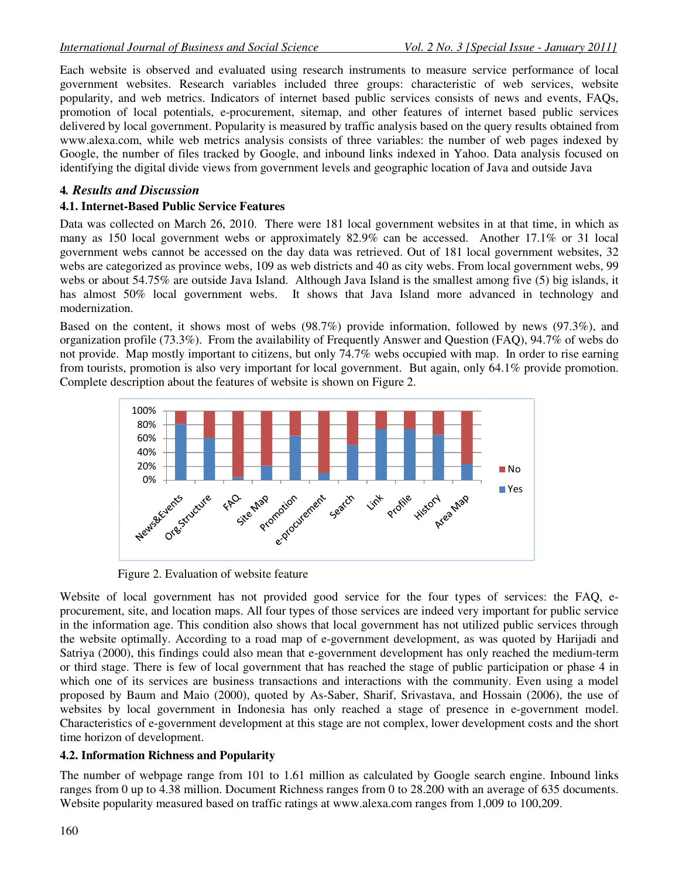Each website is observed and evaluated using research instruments to measure service performance of local government websites. Research variables included three groups: characteristic of web services, website popularity, and web metrics. Indicators of internet based public services consists of news and events, FAQs, promotion of local potentials, e-procurement, sitemap, and other features of internet based public services delivered by local government. Popularity is measured by traffic analysis based on the query results obtained from www.alexa.com, while web metrics analysis consists of three variables: the number of web pages indexed by Google, the number of files tracked by Google, and inbound links indexed in Yahoo. Data analysis focused on identifying the digital divide views from government levels and geographic location of Java and outside Java

#### **4***. Results and Discussion*

## **4.1. Internet-Based Public Service Features**

Data was collected on March 26, 2010. There were 181 local government websites in at that time, in which as many as 150 local government webs or approximately 82.9% can be accessed. Another 17.1% or 31 local government webs cannot be accessed on the day data was retrieved. Out of 181 local government websites, 32 webs are categorized as province webs, 109 as web districts and 40 as city webs. From local government webs, 99 webs or about 54.75% are outside Java Island. Although Java Island is the smallest among five (5) big islands, it has almost 50% local government webs. It shows that Java Island more advanced in technology and modernization.

Based on the content, it shows most of webs (98.7%) provide information, followed by news (97.3%), and organization profile (73.3%). From the availability of Frequently Answer and Question (FAQ), 94.7% of webs do not provide. Map mostly important to citizens, but only 74.7% webs occupied with map. In order to rise earning from tourists, promotion is also very important for local government. But again, only 64.1% provide promotion. Complete description about the features of website is shown on Figure 2.



Figure 2. Evaluation of website feature

Website of local government has not provided good service for the four types of services: the FAQ, eprocurement, site, and location maps. All four types of those services are indeed very important for public service in the information age. This condition also shows that local government has not utilized public services through the website optimally. According to a road map of e-government development, as was quoted by Harijadi and Satriya (2000), this findings could also mean that e-government development has only reached the medium-term or third stage. There is few of local government that has reached the stage of public participation or phase 4 in which one of its services are business transactions and interactions with the community. Even using a model proposed by Baum and Maio (2000), quoted by As-Saber, Sharif, Srivastava, and Hossain (2006), the use of websites by local government in Indonesia has only reached a stage of presence in e-government model. Characteristics of e-government development at this stage are not complex, lower development costs and the short time horizon of development.

#### **4.2. Information Richness and Popularity**

The number of webpage range from 101 to 1.61 million as calculated by Google search engine. Inbound links ranges from 0 up to 4.38 million. Document Richness ranges from 0 to 28.200 with an average of 635 documents. Website popularity measured based on traffic ratings at www.alexa.com ranges from 1,009 to 100,209.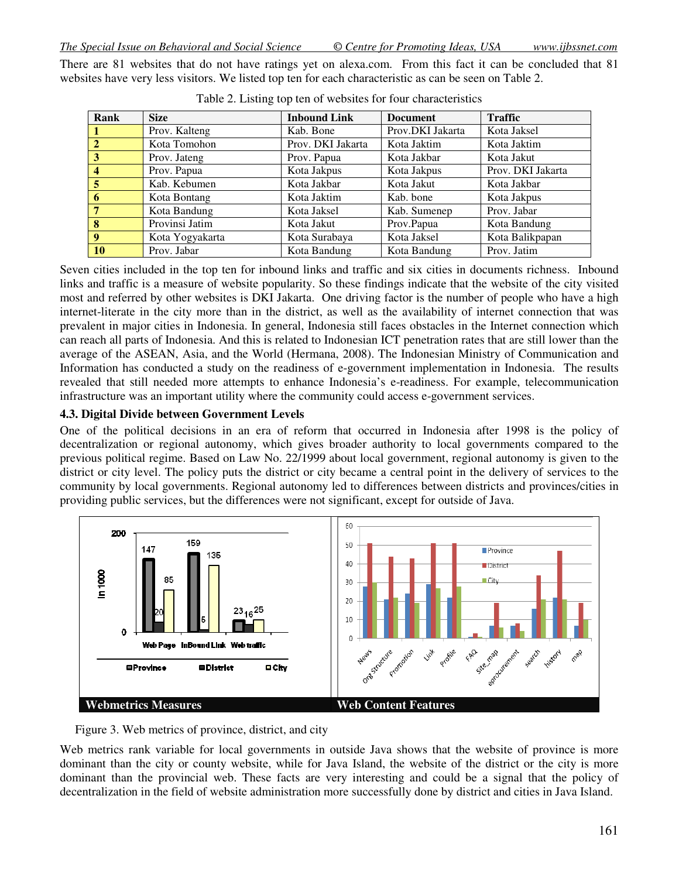There are 81 websites that do not have ratings yet on alexa.com. From this fact it can be concluded that 81 websites have very less visitors. We listed top ten for each characteristic as can be seen on Table 2.

| Rank | <b>Size</b>     | <b>Inbound Link</b> | <b>Document</b>  | <b>Traffic</b>    |
|------|-----------------|---------------------|------------------|-------------------|
|      | Prov. Kalteng   | Kab. Bone           | Prov.DKI Jakarta | Kota Jaksel       |
|      | Kota Tomohon    | Prov. DKI Jakarta   | Kota Jaktim      | Kota Jaktim       |
|      | Prov. Jateng    | Prov. Papua         | Kota Jakbar      | Kota Jakut        |
| 4    | Prov. Papua     | Kota Jakpus         | Kota Jakpus      | Prov. DKI Jakarta |
| 5    | Kab. Kebumen    | Kota Jakbar         | Kota Jakut       | Kota Jakbar       |
| 6    | Kota Bontang    | Kota Jaktim         | Kab. bone        | Kota Jakpus       |
|      | Kota Bandung    | Kota Jaksel         | Kab. Sumenep     | Prov. Jabar       |
| 8    | Provinsi Jatim  | Kota Jakut          | Prov.Papua       | Kota Bandung      |
| 9    | Kota Yogyakarta | Kota Surabaya       | Kota Jaksel      | Kota Balikpapan   |
| 10   | Prov. Jabar     | Kota Bandung        | Kota Bandung     | Prov. Jatim       |

Table 2. Listing top ten of websites for four characteristics

Seven cities included in the top ten for inbound links and traffic and six cities in documents richness. Inbound links and traffic is a measure of website popularity. So these findings indicate that the website of the city visited most and referred by other websites is DKI Jakarta. One driving factor is the number of people who have a high internet-literate in the city more than in the district, as well as the availability of internet connection that was prevalent in major cities in Indonesia. In general, Indonesia still faces obstacles in the Internet connection which can reach all parts of Indonesia. And this is related to Indonesian ICT penetration rates that are still lower than the average of the ASEAN, Asia, and the World (Hermana, 2008). The Indonesian Ministry of Communication and Information has conducted a study on the readiness of e-government implementation in Indonesia. The results revealed that still needed more attempts to enhance Indonesia's e-readiness. For example, telecommunication infrastructure was an important utility where the community could access e-government services.

#### **4.3. Digital Divide between Government Levels**

One of the political decisions in an era of reform that occurred in Indonesia after 1998 is the policy of decentralization or regional autonomy, which gives broader authority to local governments compared to the previous political regime. Based on Law No. 22/1999 about local government, regional autonomy is given to the district or city level. The policy puts the district or city became a central point in the delivery of services to the community by local governments. Regional autonomy led to differences between districts and provinces/cities in providing public services, but the differences were not significant, except for outside of Java.





Web metrics rank variable for local governments in outside Java shows that the website of province is more dominant than the city or county website, while for Java Island, the website of the district or the city is more dominant than the provincial web. These facts are very interesting and could be a signal that the policy of decentralization in the field of website administration more successfully done by district and cities in Java Island.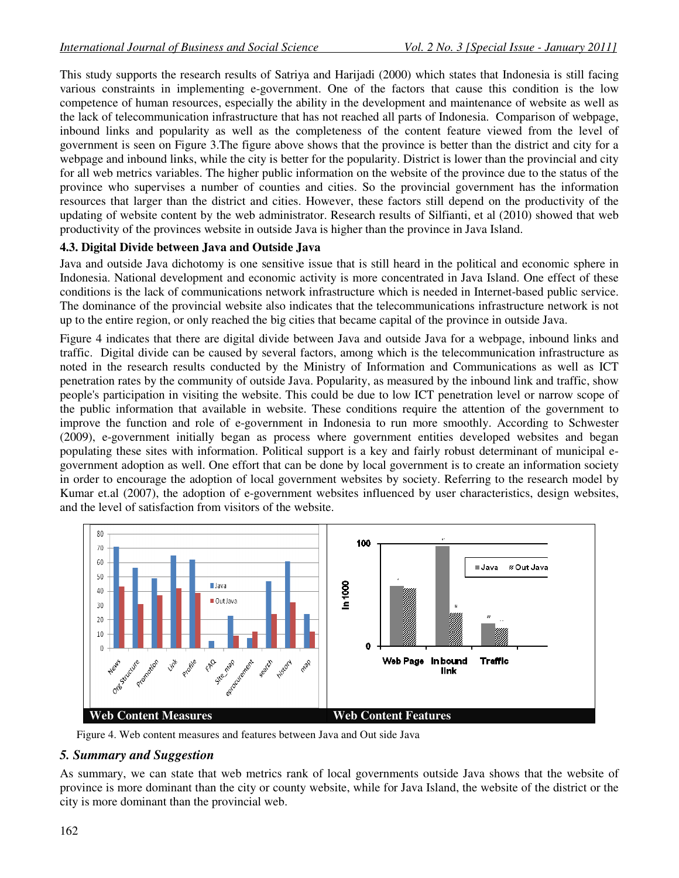This study supports the research results of Satriya and Harijadi (2000) which states that Indonesia is still facing various constraints in implementing e-government. One of the factors that cause this condition is the low competence of human resources, especially the ability in the development and maintenance of website as well as the lack of telecommunication infrastructure that has not reached all parts of Indonesia. Comparison of webpage, inbound links and popularity as well as the completeness of the content feature viewed from the level of government is seen on Figure 3.The figure above shows that the province is better than the district and city for a webpage and inbound links, while the city is better for the popularity. District is lower than the provincial and city for all web metrics variables. The higher public information on the website of the province due to the status of the province who supervises a number of counties and cities. So the provincial government has the information resources that larger than the district and cities. However, these factors still depend on the productivity of the updating of website content by the web administrator. Research results of Silfianti, et al (2010) showed that web productivity of the provinces website in outside Java is higher than the province in Java Island.

## **4.3. Digital Divide between Java and Outside Java**

Java and outside Java dichotomy is one sensitive issue that is still heard in the political and economic sphere in Indonesia. National development and economic activity is more concentrated in Java Island. One effect of these conditions is the lack of communications network infrastructure which is needed in Internet-based public service. The dominance of the provincial website also indicates that the telecommunications infrastructure network is not up to the entire region, or only reached the big cities that became capital of the province in outside Java.

Figure 4 indicates that there are digital divide between Java and outside Java for a webpage, inbound links and traffic. Digital divide can be caused by several factors, among which is the telecommunication infrastructure as noted in the research results conducted by the Ministry of Information and Communications as well as ICT penetration rates by the community of outside Java. Popularity, as measured by the inbound link and traffic, show people's participation in visiting the website. This could be due to low ICT penetration level or narrow scope of the public information that available in website. These conditions require the attention of the government to improve the function and role of e-government in Indonesia to run more smoothly. According to Schwester (2009), e-government initially began as process where government entities developed websites and began populating these sites with information. Political support is a key and fairly robust determinant of municipal egovernment adoption as well. One effort that can be done by local government is to create an information society in order to encourage the adoption of local government websites by society. Referring to the research model by Kumar et.al (2007), the adoption of e-government websites influenced by user characteristics, design websites, and the level of satisfaction from visitors of the website.



Figure 4. Web content measures and features between Java and Out side Java

#### *5. Summary and Suggestion*

As summary, we can state that web metrics rank of local governments outside Java shows that the website of province is more dominant than the city or county website, while for Java Island, the website of the district or the city is more dominant than the provincial web.